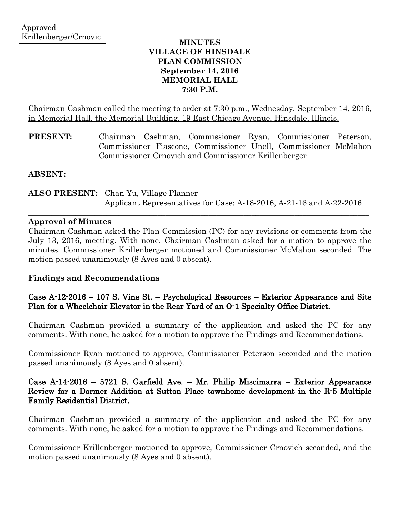h

### **MINUTES VILLAGE OF HINSDALE PLAN COMMISSION September 14, 2016 MEMORIAL HALL 7:30 P.M.**

Chairman Cashman called the meeting to order at 7:30 p.m., Wednesday, September 14, 2016, in Memorial Hall, the Memorial Building, 19 East Chicago Avenue, Hinsdale, Illinois.

**PRESENT:** Chairman Cashman, Commissioner Ryan, Commissioner Peterson, Commissioner Fiascone, Commissioner Unell, Commissioner McMahon Commissioner Crnovich and Commissioner Krillenberger

**ABSENT:**

**ALSO PRESENT:** Chan Yu, Village Planner Applicant Representatives for Case: A-18-2016, A-21-16 and A-22-2016

 $\_$  ,  $\_$  ,  $\_$  ,  $\_$  ,  $\_$  ,  $\_$  ,  $\_$  ,  $\_$  ,  $\_$  ,  $\_$  ,  $\_$  ,  $\_$  ,  $\_$  ,  $\_$  ,  $\_$  ,  $\_$  ,  $\_$  ,  $\_$  ,  $\_$  ,  $\_$  ,  $\_$  ,  $\_$  ,  $\_$  ,  $\_$  ,  $\_$  ,  $\_$  ,  $\_$  ,  $\_$  ,  $\_$  ,  $\_$  ,  $\_$  ,  $\_$  ,  $\_$  ,  $\_$  ,  $\_$  ,  $\_$  ,  $\_$  ,

### **Approval of Minutes**

Chairman Cashman asked the Plan Commission (PC) for any revisions or comments from the July 13, 2016, meeting. With none, Chairman Cashman asked for a motion to approve the minutes. Commissioner Krillenberger motioned and Commissioner McMahon seconded. The motion passed unanimously (8 Ayes and 0 absent).

# **Findings and Recommendations**

# Case A-12-2016 – 107 S. Vine St. – Psychological Resources – Exterior Appearance and Site Plan for a Wheelchair Elevator in the Rear Yard of an O-1 Specialty Office District.

Chairman Cashman provided a summary of the application and asked the PC for any comments. With none, he asked for a motion to approve the Findings and Recommendations.

Commissioner Ryan motioned to approve, Commissioner Peterson seconded and the motion passed unanimously (8 Ayes and 0 absent).

## Case A-14-2016 – 5721 S. Garfield Ave. – Mr. Philip Miscimarra – Exterior Appearance Review for a Dormer Addition at Sutton Place townhome development in the R-5 Multiple Family Residential District.

Chairman Cashman provided a summary of the application and asked the PC for any comments. With none, he asked for a motion to approve the Findings and Recommendations.

Commissioner Krillenberger motioned to approve, Commissioner Crnovich seconded, and the motion passed unanimously (8 Ayes and 0 absent).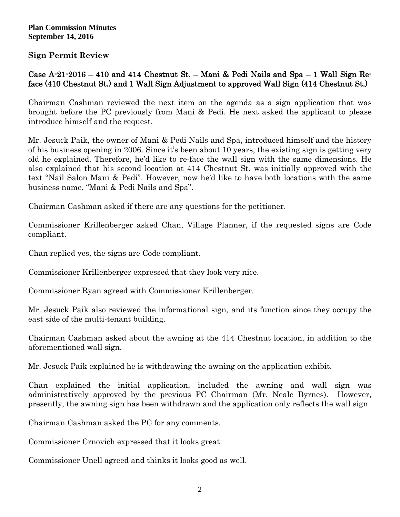### **Plan Commission Minutes September 14, 2016**

## **Sign Permit Review**

# Case A-21-2016 – 410 and 414 Chestnut St. – Mani & Pedi Nails and Spa – 1 Wall Sign Reface (410 Chestnut St.) and 1 Wall Sign Adjustment to approved Wall Sign (414 Chestnut St.)

Chairman Cashman reviewed the next item on the agenda as a sign application that was brought before the PC previously from Mani & Pedi. He next asked the applicant to please introduce himself and the request.

Mr. Jesuck Paik, the owner of Mani & Pedi Nails and Spa, introduced himself and the history of his business opening in 2006. Since it's been about 10 years, the existing sign is getting very old he explained. Therefore, he'd like to re-face the wall sign with the same dimensions. He also explained that his second location at 414 Chestnut St. was initially approved with the text "Nail Salon Mani & Pedi". However, now he'd like to have both locations with the same business name, "Mani & Pedi Nails and Spa".

Chairman Cashman asked if there are any questions for the petitioner.

Commissioner Krillenberger asked Chan, Village Planner, if the requested signs are Code compliant.

Chan replied yes, the signs are Code compliant.

Commissioner Krillenberger expressed that they look very nice.

Commissioner Ryan agreed with Commissioner Krillenberger.

Mr. Jesuck Paik also reviewed the informational sign, and its function since they occupy the east side of the multi-tenant building.

Chairman Cashman asked about the awning at the 414 Chestnut location, in addition to the aforementioned wall sign.

Mr. Jesuck Paik explained he is withdrawing the awning on the application exhibit.

Chan explained the initial application, included the awning and wall sign was administratively approved by the previous PC Chairman (Mr. Neale Byrnes). However, presently, the awning sign has been withdrawn and the application only reflects the wall sign.

Chairman Cashman asked the PC for any comments.

Commissioner Crnovich expressed that it looks great.

Commissioner Unell agreed and thinks it looks good as well.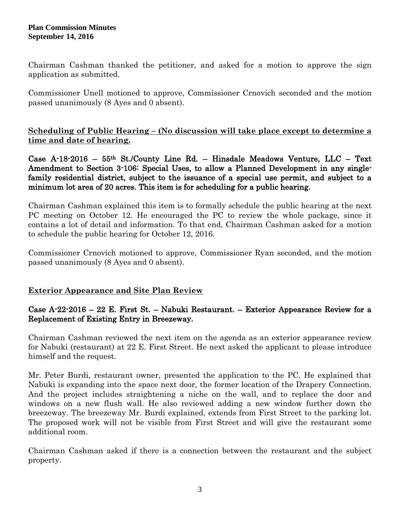### **Plan Commission Minutes September 14, 2016**

Chairman Cashman thanked the petitioner, and asked for a motion to approve the sign application as submitted.

Commissioner Unell motioned to approve, Commissioner Crnovich seconded and the motion passed unanimously (8 Ayes and 0 absent).

**Scheduling of Public Hearing – (No discussion will take place except to determine a time and date of hearing.**

Case A-18-2016 – 55th St./County Line Rd. – Hinsdale Meadows Venture, LLC – Text Amendment to Section 3-106: Special Uses, to allow a Planned Development in any singlefamily residential district, subject to the issuance of a special use permit, and subject to a minimum lot area of 20 acres. This item is for scheduling for a public hearing.

Chairman Cashman explained this item is to formally schedule the public hearing at the next PC meeting on October 12. He encouraged the PC to review the whole package, since it contains a lot of detail and information. To that end, Chairman Cashman asked for a motion to schedule the public hearing for October 12, 2016.

Commissioner Crnovich motioned to approve, Commissioner Ryan seconded, and the motion passed unanimously (8 Ayes and 0 absent).

# **Exterior Appearance and Site Plan Review**

## Case A-22-2016 – 22 E. First St. – Nabuki Restaurant. – Exterior Appearance Review for a Replacement of Existing Entry in Breezeway.

Chairman Cashman reviewed the next item on the agenda as an exterior appearance review for Nabuki (restaurant) at 22 E. First Street. He next asked the applicant to please introduce himself and the request.

Mr. Peter Burdi, restaurant owner, presented the application to the PC. He explained that Nabuki is expanding into the space next door, the former location of the Drapery Connection. And the project includes straightening a niche on the wall, and to replace the door and windows on a new flush wall. He also reviewed adding a new window further down the breezeway. The breezeway Mr. Burdi explained, extends from First Street to the parking lot. The proposed work will not be visible from First Street and will give the restaurant some additional room.

Chairman Cashman asked if there is a connection between the restaurant and the subject property.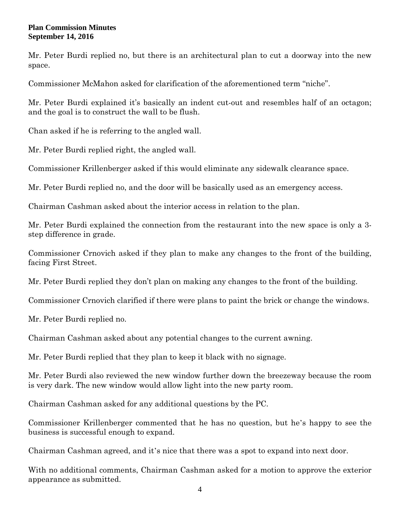#### **Plan Commission Minutes September 14, 2016**

Mr. Peter Burdi replied no, but there is an architectural plan to cut a doorway into the new space.

Commissioner McMahon asked for clarification of the aforementioned term "niche".

Mr. Peter Burdi explained it's basically an indent cut-out and resembles half of an octagon; and the goal is to construct the wall to be flush.

Chan asked if he is referring to the angled wall.

Mr. Peter Burdi replied right, the angled wall.

Commissioner Krillenberger asked if this would eliminate any sidewalk clearance space.

Mr. Peter Burdi replied no, and the door will be basically used as an emergency access.

Chairman Cashman asked about the interior access in relation to the plan.

Mr. Peter Burdi explained the connection from the restaurant into the new space is only a 3 step difference in grade.

Commissioner Crnovich asked if they plan to make any changes to the front of the building, facing First Street.

Mr. Peter Burdi replied they don't plan on making any changes to the front of the building.

Commissioner Crnovich clarified if there were plans to paint the brick or change the windows.

Mr. Peter Burdi replied no.

Chairman Cashman asked about any potential changes to the current awning.

Mr. Peter Burdi replied that they plan to keep it black with no signage.

Mr. Peter Burdi also reviewed the new window further down the breezeway because the room is very dark. The new window would allow light into the new party room.

Chairman Cashman asked for any additional questions by the PC.

Commissioner Krillenberger commented that he has no question, but he's happy to see the business is successful enough to expand.

Chairman Cashman agreed, and it's nice that there was a spot to expand into next door.

With no additional comments, Chairman Cashman asked for a motion to approve the exterior appearance as submitted.